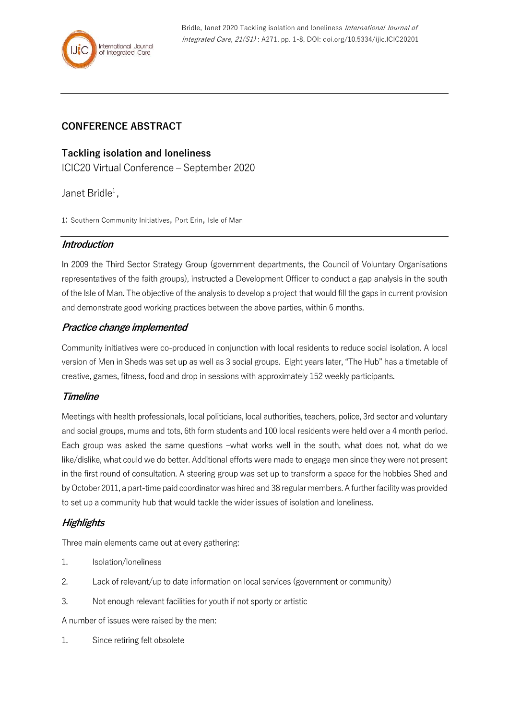# **CONFERENCE ABSTRACT**

### **Tackling isolation and loneliness**

ICIC20 Virtual Conference – September 2020

Janet Bridle<sup>1</sup>,

1: Southern Community Initiatives, Port Erin, Isle of Man

#### **Introduction**

In 2009 the Third Sector Strategy Group (government departments, the Council of Voluntary Organisations representatives of the faith groups), instructed a Development Officer to conduct a gap analysis in the south of the Isle of Man. The objective of the analysis to develop a project that would fill the gaps in current provision and demonstrate good working practices between the above parties, within 6 months.

### **Practice change implemented**

Community initiatives were co-produced in conjunction with local residents to reduce social isolation. A local version of Men in Sheds was set up as well as 3 social groups. Eight years later, "The Hub" has a timetable of creative, games, fitness, food and drop in sessions with approximately 152 weekly participants.

### **Timeline**

Meetings with health professionals, local politicians, local authorities, teachers, police, 3rd sector and voluntary and social groups, mums and tots, 6th form students and 100 local residents were held over a 4 month period. Each group was asked the same questions –what works well in the south, what does not, what do we like/dislike, what could we do better. Additional efforts were made to engage men since they were not present in the first round of consultation. A steering group was set up to transform a space for the hobbies Shed and by October 2011, a part-time paid coordinator was hired and 38 regular members. A further facility was provided to set up a community hub that would tackle the wider issues of isolation and loneliness.

### **Highlights**

Three main elements came out at every gathering:

- 1. Isolation/loneliness
- 2. Lack of relevant/up to date information on local services (government or community)
- 3. Not enough relevant facilities for youth if not sporty or artistic

A number of issues were raised by the men:

1. Since retiring felt obsolete